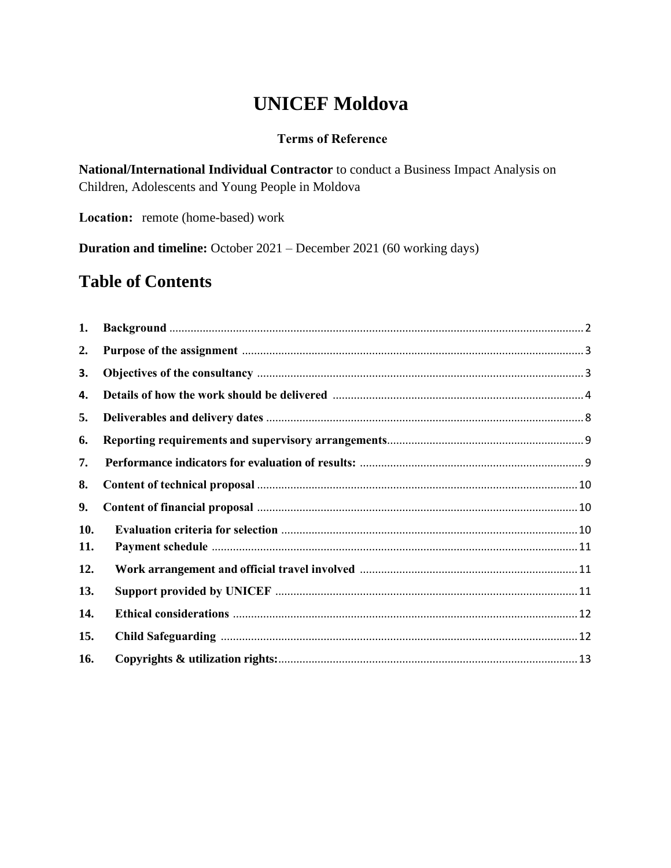# **UNICEF Moldova**

### **Terms of Reference**

**National/International Individual Contractor** to conduct a Business Impact Analysis on Children, Adolescents and Young People in Moldova

**Location:** remote (home-based) work

**Duration and timeline:** October 2021 – December 2021 (60 working days)

# **Table of Contents**

| 1.  |  |
|-----|--|
| 2.  |  |
| 3.  |  |
| 4.  |  |
| 5.  |  |
| 6.  |  |
| 7.  |  |
| 8.  |  |
| 9.  |  |
| 10. |  |
| 11. |  |
| 12. |  |
| 13. |  |
| 14. |  |
| 15. |  |
| 16. |  |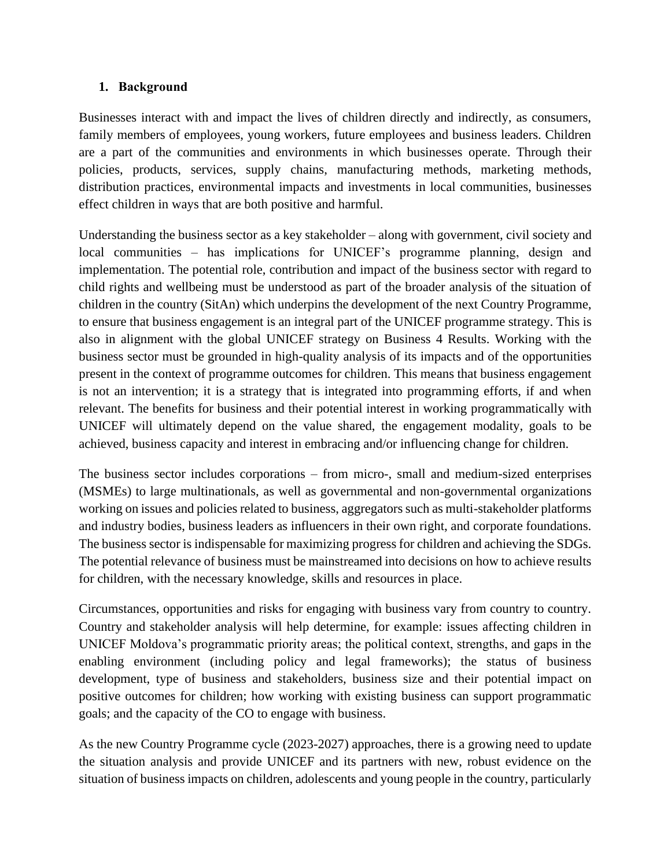#### <span id="page-1-0"></span>**1. Background**

Businesses interact with and impact the lives of children directly and indirectly, as consumers, family members of employees, young workers, future employees and business leaders. Children are a part of the communities and environments in which businesses operate. Through their policies, products, services, supply chains, manufacturing methods, marketing methods, distribution practices, environmental impacts and investments in local communities, businesses effect children in ways that are both positive and harmful.

Understanding the business sector as a key stakeholder – along with government, civil society and local communities – has implications for UNICEF's programme planning, design and implementation. The potential role, contribution and impact of the business sector with regard to child rights and wellbeing must be understood as part of the broader analysis of the situation of children in the country (SitAn) which underpins the development of the next Country Programme, to ensure that business engagement is an integral part of the UNICEF programme strategy. This is also in alignment with the global UNICEF strategy on Business 4 Results. Working with the business sector must be grounded in high-quality analysis of its impacts and of the opportunities present in the context of programme outcomes for children. This means that business engagement is not an intervention; it is a strategy that is integrated into programming efforts, if and when relevant. The benefits for business and their potential interest in working programmatically with UNICEF will ultimately depend on the value shared, the engagement modality, goals to be achieved, business capacity and interest in embracing and/or influencing change for children.

The business sector includes corporations – from micro-, small and medium-sized enterprises (MSMEs) to large multinationals, as well as governmental and non-governmental organizations working on issues and policies related to business, aggregators such as multi-stakeholder platforms and industry bodies, business leaders as influencers in their own right, and corporate foundations. The business sector is indispensable for maximizing progress for children and achieving the SDGs. The potential relevance of business must be mainstreamed into decisions on how to achieve results for children, with the necessary knowledge, skills and resources in place.

Circumstances, opportunities and risks for engaging with business vary from country to country. Country and stakeholder analysis will help determine, for example: issues affecting children in UNICEF Moldova's programmatic priority areas; the political context, strengths, and gaps in the enabling environment (including policy and legal frameworks); the status of business development, type of business and stakeholders, business size and their potential impact on positive outcomes for children; how working with existing business can support programmatic goals; and the capacity of the CO to engage with business.

As the new Country Programme cycle (2023-2027) approaches, there is a growing need to update the situation analysis and provide UNICEF and its partners with new, robust evidence on the situation of business impacts on children, adolescents and young people in the country, particularly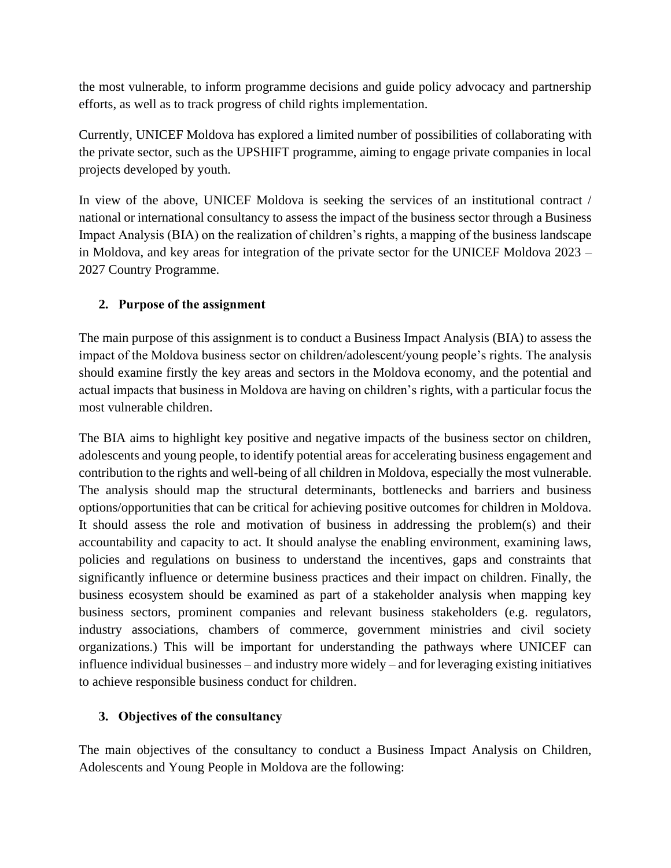the most vulnerable, to inform programme decisions and guide policy advocacy and partnership efforts, as well as to track progress of child rights implementation.

Currently, UNICEF Moldova has explored a limited number of possibilities of collaborating with the private sector, such as the UPSHIFT programme, aiming to engage private companies in local projects developed by youth.

In view of the above, UNICEF Moldova is seeking the services of an institutional contract / national or international consultancy to assess the impact of the business sector through a Business Impact Analysis (BIA) on the realization of children's rights, a mapping of the business landscape in Moldova, and key areas for integration of the private sector for the UNICEF Moldova 2023 – 2027 Country Programme.

# <span id="page-2-0"></span>**2. Purpose of the assignment**

The main purpose of this assignment is to conduct a Business Impact Analysis (BIA) to assess the impact of the Moldova business sector on children/adolescent/young people's rights. The analysis should examine firstly the key areas and sectors in the Moldova economy, and the potential and actual impacts that business in Moldova are having on children's rights, with a particular focus the most vulnerable children.

The BIA aims to highlight key positive and negative impacts of the business sector on children, adolescents and young people, to identify potential areas for accelerating business engagement and contribution to the rights and well-being of all children in Moldova, especially the most vulnerable. The analysis should map the structural determinants, bottlenecks and barriers and business options/opportunities that can be critical for achieving positive outcomes for children in Moldova. It should assess the role and motivation of business in addressing the problem(s) and their accountability and capacity to act. It should analyse the enabling environment, examining laws, policies and regulations on business to understand the incentives, gaps and constraints that significantly influence or determine business practices and their impact on children. Finally, the business ecosystem should be examined as part of a stakeholder analysis when mapping key business sectors, prominent companies and relevant business stakeholders (e.g. regulators, industry associations, chambers of commerce, government ministries and civil society organizations.) This will be important for understanding the pathways where UNICEF can influence individual businesses – and industry more widely – and for leveraging existing initiatives to achieve responsible business conduct for children.

# <span id="page-2-1"></span>**3. Objectives of the consultancy**

The main objectives of the consultancy to conduct a Business Impact Analysis on Children, Adolescents and Young People in Moldova are the following: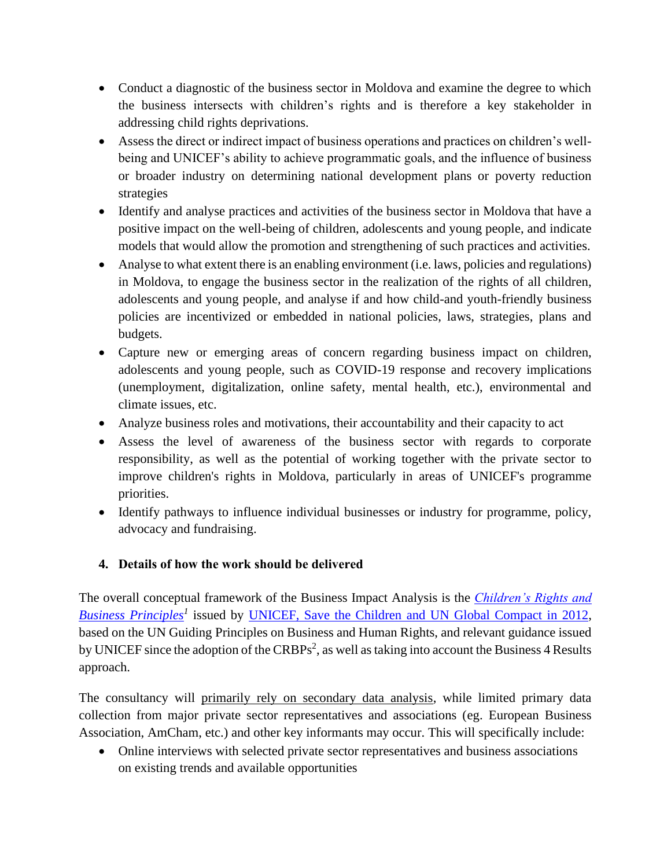- Conduct a diagnostic of the business sector in Moldova and examine the degree to which the business intersects with children's rights and is therefore a key stakeholder in addressing child rights deprivations.
- Assess the direct or indirect impact of business operations and practices on children's wellbeing and UNICEF's ability to achieve programmatic goals, and the influence of business or broader industry on determining national development plans or poverty reduction strategies
- Identify and analyse practices and activities of the business sector in Moldova that have a positive impact on the well-being of children, adolescents and young people, and indicate models that would allow the promotion and strengthening of such practices and activities.
- Analyse to what extent there is an enabling environment (i.e. laws, policies and regulations) in Moldova, to engage the business sector in the realization of the rights of all children, adolescents and young people, and analyse if and how child-and youth-friendly business policies are incentivized or embedded in national policies, laws, strategies, plans and budgets.
- Capture new or emerging areas of concern regarding business impact on children, adolescents and young people, such as COVID-19 response and recovery implications (unemployment, digitalization, online safety, mental health, etc.), environmental and climate issues, etc.
- Analyze business roles and motivations, their accountability and their capacity to act
- Assess the level of awareness of the business sector with regards to corporate responsibility, as well as the potential of working together with the private sector to improve children's rights in Moldova, particularly in areas of UNICEF's programme priorities.
- Identify pathways to influence individual businesses or industry for programme, policy, advocacy and fundraising.

# <span id="page-3-0"></span>**4. Details of how the work should be delivered**

The overall conceptual framework of the Business Impact Analysis is the *[Children's Rights and](https://www.unicef.org/csr/12.htm)  [Business Principles](https://www.unicef.org/csr/12.htm)<sup>1</sup>* issued by UNICEF, Save the Children [and UN Global Compact in 2012,](https://www.unicef.org/csr/12.htm) based on the UN Guiding Principles on Business and Human Rights, and relevant guidance issued by UNICEF since the adoption of the CRBPs<sup>2</sup>, as well as taking into account the Business 4 Results approach.

The consultancy will primarily rely on secondary data analysis, while limited primary data collection from major private sector representatives and associations (eg. European Business Association, AmCham, etc.) and other key informants may occur. This will specifically include:

• Online interviews with selected private sector representatives and business associations on existing trends and available opportunities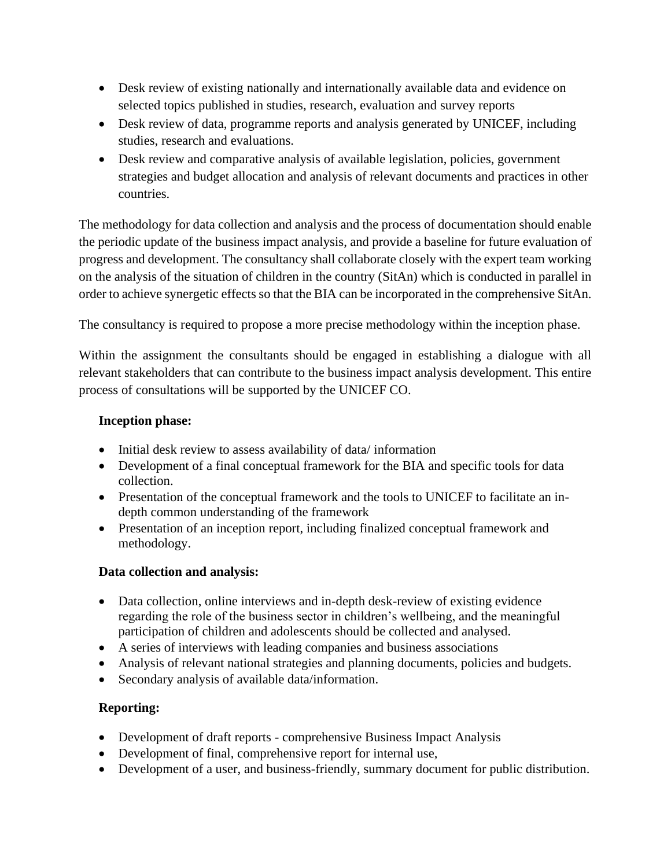- Desk review of existing nationally and internationally available data and evidence on selected topics published in studies, research, evaluation and survey reports
- Desk review of data, programme reports and analysis generated by UNICEF, including studies, research and evaluations.
- Desk review and comparative analysis of available legislation, policies, government strategies and budget allocation and analysis of relevant documents and practices in other countries.

The methodology for data collection and analysis and the process of documentation should enable the periodic update of the business impact analysis, and provide a baseline for future evaluation of progress and development. The consultancy shall collaborate closely with the expert team working on the analysis of the situation of children in the country (SitAn) which is conducted in parallel in order to achieve synergetic effects so that the BIA can be incorporated in the comprehensive SitAn.

The consultancy is required to propose a more precise methodology within the inception phase.

Within the assignment the consultants should be engaged in establishing a dialogue with all relevant stakeholders that can contribute to the business impact analysis development. This entire process of consultations will be supported by the UNICEF CO.

# **Inception phase:**

- Initial desk review to assess availability of data/ information
- Development of a final conceptual framework for the BIA and specific tools for data collection.
- Presentation of the conceptual framework and the tools to UNICEF to facilitate an indepth common understanding of the framework
- Presentation of an inception report, including finalized conceptual framework and methodology.

#### **Data collection and analysis:**

- Data collection, online interviews and in-depth desk-review of existing evidence regarding the role of the business sector in children's wellbeing, and the meaningful participation of children and adolescents should be collected and analysed.
- A series of interviews with leading companies and business associations
- Analysis of relevant national strategies and planning documents, policies and budgets.
- Secondary analysis of available data/information.

#### **Reporting:**

- Development of draft reports comprehensive Business Impact Analysis
- Development of final, comprehensive report for internal use,
- Development of a user, and business-friendly, summary document for public distribution.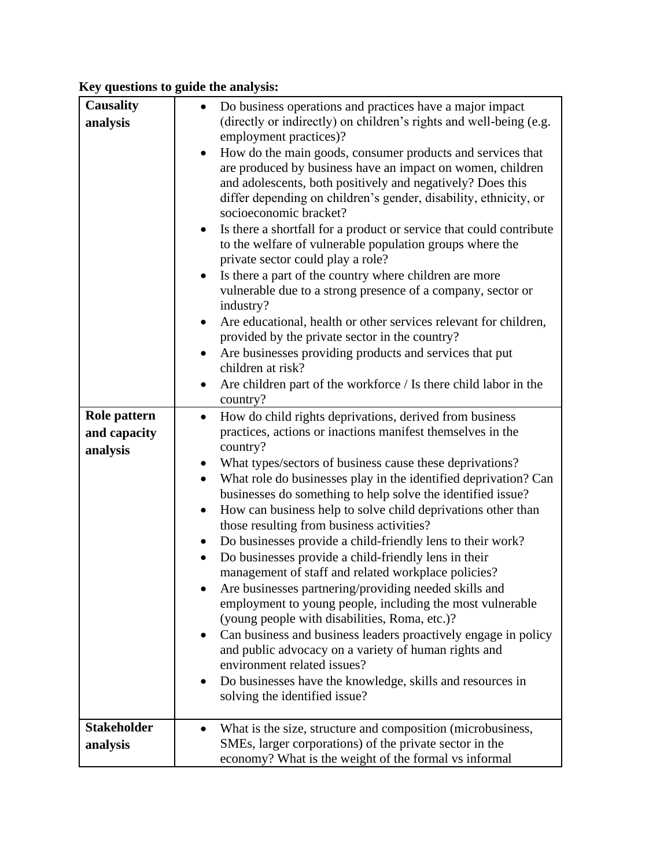# **Key questions to guide the analysis:**

| <b>Causality</b>   | Do business operations and practices have a major impact                                                                    |  |  |  |  |  |
|--------------------|-----------------------------------------------------------------------------------------------------------------------------|--|--|--|--|--|
| analysis           | (directly or indirectly) on children's rights and well-being (e.g.                                                          |  |  |  |  |  |
|                    | employment practices)?                                                                                                      |  |  |  |  |  |
|                    | How do the main goods, consumer products and services that<br>are produced by business have an impact on women, children    |  |  |  |  |  |
|                    | and adolescents, both positively and negatively? Does this                                                                  |  |  |  |  |  |
|                    | differ depending on children's gender, disability, ethnicity, or                                                            |  |  |  |  |  |
|                    | socioeconomic bracket?                                                                                                      |  |  |  |  |  |
|                    | Is there a shortfall for a product or service that could contribute                                                         |  |  |  |  |  |
|                    | to the welfare of vulnerable population groups where the                                                                    |  |  |  |  |  |
|                    | private sector could play a role?                                                                                           |  |  |  |  |  |
|                    | Is there a part of the country where children are more                                                                      |  |  |  |  |  |
|                    | vulnerable due to a strong presence of a company, sector or                                                                 |  |  |  |  |  |
|                    | industry?                                                                                                                   |  |  |  |  |  |
|                    | Are educational, health or other services relevant for children,<br>$\bullet$                                               |  |  |  |  |  |
|                    | provided by the private sector in the country?                                                                              |  |  |  |  |  |
|                    | Are businesses providing products and services that put<br>٠<br>children at risk?                                           |  |  |  |  |  |
|                    | Are children part of the workforce / Is there child labor in the<br>$\bullet$                                               |  |  |  |  |  |
|                    | country?                                                                                                                    |  |  |  |  |  |
| Role pattern       | How do child rights deprivations, derived from business<br>$\bullet$                                                        |  |  |  |  |  |
| and capacity       | practices, actions or inactions manifest themselves in the                                                                  |  |  |  |  |  |
| analysis           | country?                                                                                                                    |  |  |  |  |  |
|                    | What types/sectors of business cause these deprivations?                                                                    |  |  |  |  |  |
|                    | What role do businesses play in the identified deprivation? Can                                                             |  |  |  |  |  |
|                    | businesses do something to help solve the identified issue?<br>How can business help to solve child deprivations other than |  |  |  |  |  |
|                    | $\bullet$<br>those resulting from business activities?                                                                      |  |  |  |  |  |
|                    | Do businesses provide a child-friendly lens to their work?                                                                  |  |  |  |  |  |
|                    | Do businesses provide a child-friendly lens in their                                                                        |  |  |  |  |  |
|                    | management of staff and related workplace policies?                                                                         |  |  |  |  |  |
|                    | Are businesses partnering/providing needed skills and                                                                       |  |  |  |  |  |
|                    | employment to young people, including the most vulnerable                                                                   |  |  |  |  |  |
|                    | (young people with disabilities, Roma, etc.)?                                                                               |  |  |  |  |  |
|                    | Can business and business leaders proactively engage in policy                                                              |  |  |  |  |  |
|                    | and public advocacy on a variety of human rights and                                                                        |  |  |  |  |  |
|                    | environment related issues?                                                                                                 |  |  |  |  |  |
|                    | Do businesses have the knowledge, skills and resources in                                                                   |  |  |  |  |  |
|                    | solving the identified issue?                                                                                               |  |  |  |  |  |
| <b>Stakeholder</b> | What is the size, structure and composition (microbusiness,                                                                 |  |  |  |  |  |
| analysis           | SMEs, larger corporations) of the private sector in the                                                                     |  |  |  |  |  |
|                    | economy? What is the weight of the formal vs informal                                                                       |  |  |  |  |  |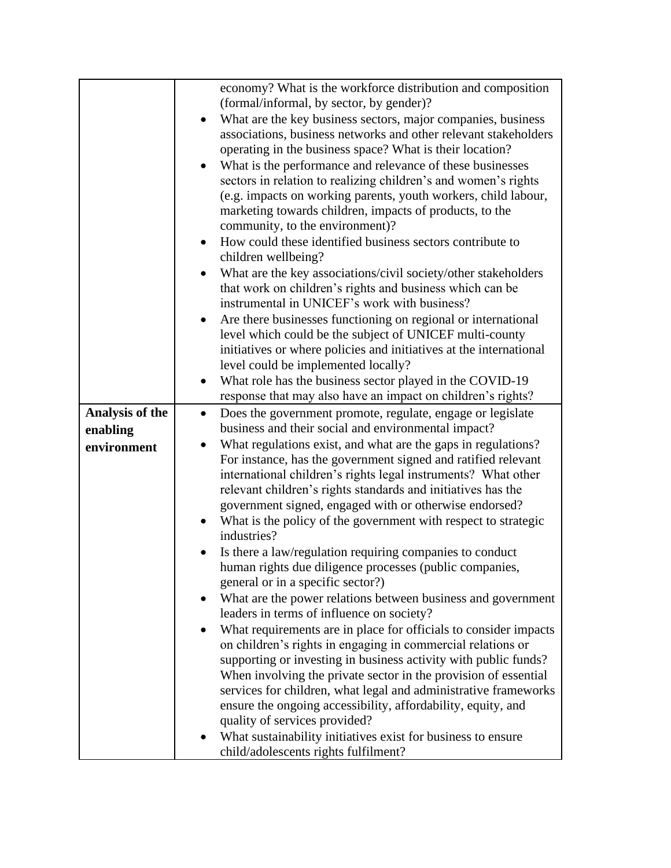|                 | economy? What is the workforce distribution and composition                 |  |  |  |  |  |
|-----------------|-----------------------------------------------------------------------------|--|--|--|--|--|
|                 | (formal/informal, by sector, by gender)?                                    |  |  |  |  |  |
|                 | What are the key business sectors, major companies, business                |  |  |  |  |  |
|                 | associations, business networks and other relevant stakeholders             |  |  |  |  |  |
|                 | operating in the business space? What is their location?                    |  |  |  |  |  |
|                 | What is the performance and relevance of these businesses                   |  |  |  |  |  |
|                 | sectors in relation to realizing children's and women's rights              |  |  |  |  |  |
|                 | (e.g. impacts on working parents, youth workers, child labour,              |  |  |  |  |  |
|                 | marketing towards children, impacts of products, to the                     |  |  |  |  |  |
|                 | community, to the environment)?                                             |  |  |  |  |  |
|                 | How could these identified business sectors contribute to                   |  |  |  |  |  |
|                 | children wellbeing?                                                         |  |  |  |  |  |
|                 | What are the key associations/civil society/other stakeholders<br>$\bullet$ |  |  |  |  |  |
|                 | that work on children's rights and business which can be                    |  |  |  |  |  |
|                 | instrumental in UNICEF's work with business?                                |  |  |  |  |  |
|                 |                                                                             |  |  |  |  |  |
|                 | Are there businesses functioning on regional or international               |  |  |  |  |  |
|                 | level which could be the subject of UNICEF multi-county                     |  |  |  |  |  |
|                 | initiatives or where policies and initiatives at the international          |  |  |  |  |  |
|                 | level could be implemented locally?                                         |  |  |  |  |  |
|                 | What role has the business sector played in the COVID-19                    |  |  |  |  |  |
|                 | response that may also have an impact on children's rights?                 |  |  |  |  |  |
| Analysis of the | Does the government promote, regulate, engage or legislate<br>$\bullet$     |  |  |  |  |  |
| enabling        | business and their social and environmental impact?                         |  |  |  |  |  |
| environment     | What regulations exist, and what are the gaps in regulations?<br>$\bullet$  |  |  |  |  |  |
|                 | For instance, has the government signed and ratified relevant               |  |  |  |  |  |
|                 | international children's rights legal instruments? What other               |  |  |  |  |  |
|                 | relevant children's rights standards and initiatives has the                |  |  |  |  |  |
|                 | government signed, engaged with or otherwise endorsed?                      |  |  |  |  |  |
|                 | What is the policy of the government with respect to strategic              |  |  |  |  |  |
|                 | industries?                                                                 |  |  |  |  |  |
|                 | Is there a law/regulation requiring companies to conduct                    |  |  |  |  |  |
|                 | human rights due diligence processes (public companies,                     |  |  |  |  |  |
|                 | general or in a specific sector?)                                           |  |  |  |  |  |
|                 | What are the power relations between business and government                |  |  |  |  |  |
|                 | leaders in terms of influence on society?                                   |  |  |  |  |  |
|                 | What requirements are in place for officials to consider impacts            |  |  |  |  |  |
|                 | on children's rights in engaging in commercial relations or                 |  |  |  |  |  |
|                 | supporting or investing in business activity with public funds?             |  |  |  |  |  |
|                 | When involving the private sector in the provision of essential             |  |  |  |  |  |
|                 | services for children, what legal and administrative frameworks             |  |  |  |  |  |
|                 | ensure the ongoing accessibility, affordability, equity, and                |  |  |  |  |  |
|                 | quality of services provided?                                               |  |  |  |  |  |
|                 | What sustainability initiatives exist for business to ensure                |  |  |  |  |  |
|                 | child/adolescents rights fulfilment?                                        |  |  |  |  |  |
|                 |                                                                             |  |  |  |  |  |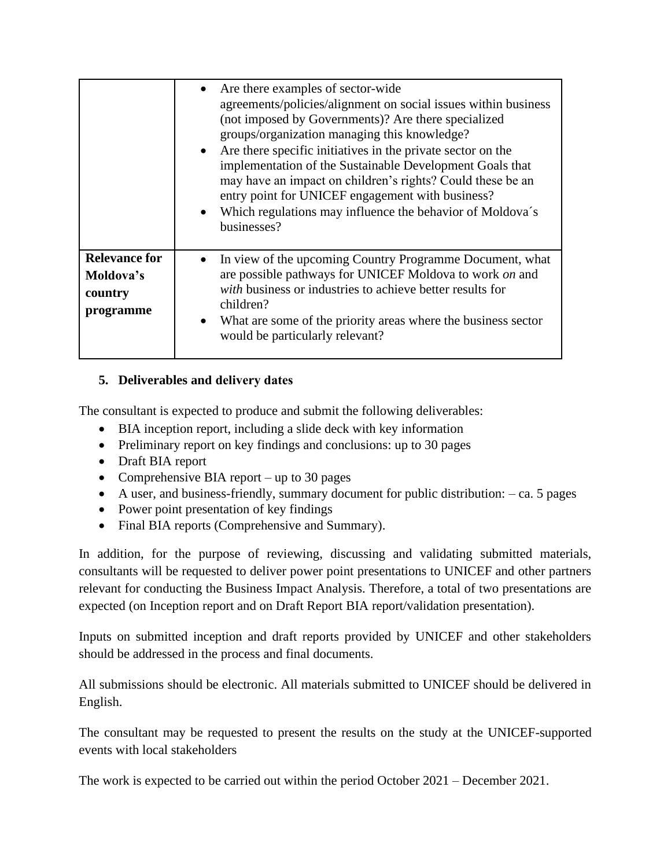|                                                           | • Are there examples of sector-wide<br>agreements/policies/alignment on social issues within business<br>(not imposed by Governments)? Are there specialized<br>groups/organization managing this knowledge?<br>Are there specific initiatives in the private sector on the<br>$\bullet$<br>implementation of the Sustainable Development Goals that<br>may have an impact on children's rights? Could these be an<br>entry point for UNICEF engagement with business?<br>Which regulations may influence the behavior of Moldova's<br>businesses? |
|-----------------------------------------------------------|----------------------------------------------------------------------------------------------------------------------------------------------------------------------------------------------------------------------------------------------------------------------------------------------------------------------------------------------------------------------------------------------------------------------------------------------------------------------------------------------------------------------------------------------------|
| <b>Relevance for</b><br>Moldova's<br>country<br>programme | In view of the upcoming Country Programme Document, what<br>are possible pathways for UNICEF Moldova to work on and<br>with business or industries to achieve better results for<br>children?<br>What are some of the priority areas where the business sector<br>would be particularly relevant?                                                                                                                                                                                                                                                  |

# <span id="page-7-0"></span>**5. Deliverables and delivery dates**

The consultant is expected to produce and submit the following deliverables:

- BIA inception report, including a slide deck with key information
- Preliminary report on key findings and conclusions: up to 30 pages
- Draft BIA report
- Comprehensive BIA report up to 30 pages
- A user, and business-friendly, summary document for public distribution: ca. 5 pages
- Power point presentation of key findings
- Final BIA reports (Comprehensive and Summary).

In addition, for the purpose of reviewing, discussing and validating submitted materials, consultants will be requested to deliver power point presentations to UNICEF and other partners relevant for conducting the Business Impact Analysis. Therefore, a total of two presentations are expected (on Inception report and on Draft Report BIA report/validation presentation).

Inputs on submitted inception and draft reports provided by UNICEF and other stakeholders should be addressed in the process and final documents.

All submissions should be electronic. All materials submitted to UNICEF should be delivered in English.

The consultant may be requested to present the results on the study at the UNICEF-supported events with local stakeholders

The work is expected to be carried out within the period October 2021 – December 2021.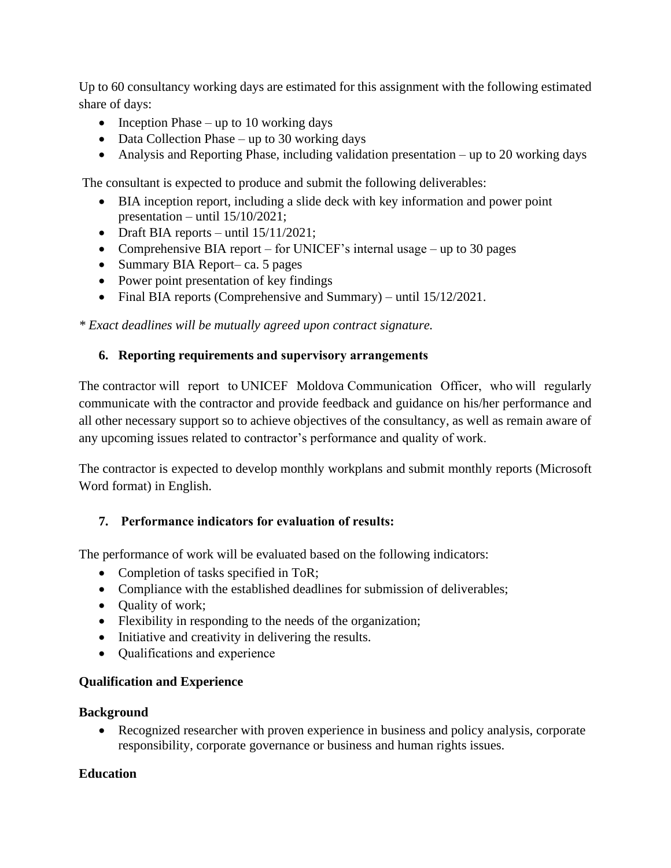Up to 60 consultancy working days are estimated for this assignment with the following estimated share of days:

- Inception Phase up to 10 working days
- Data Collection Phase up to 30 working days
- Analysis and Reporting Phase, including validation presentation up to 20 working days

The consultant is expected to produce and submit the following deliverables:

- BIA inception report, including a slide deck with key information and power point presentation – until 15/10/2021;
- Draft BIA reports until  $15/11/2021$ ;
- Comprehensive BIA report for UNICEF's internal usage up to 30 pages
- Summary BIA Report– ca. 5 pages
- Power point presentation of key findings
- Final BIA reports (Comprehensive and Summary) until  $15/12/2021$ .

<span id="page-8-0"></span>*\* Exact deadlines will be mutually agreed upon contract signature.*

#### **6. Reporting requirements and supervisory arrangements**

The contractor will report to UNICEF Moldova Communication Officer, who will regularly communicate with the contractor and provide feedback and guidance on his/her performance and all other necessary support so to achieve objectives of the consultancy, as well as remain aware of any upcoming issues related to contractor's performance and quality of work.  

The contractor is expected to develop monthly workplans and submit monthly reports (Microsoft Word format) in English.

#### <span id="page-8-1"></span>**7. Performance indicators for evaluation of results:**

The performance of work will be evaluated based on the following indicators:

- Completion of tasks specified in ToR;
- Compliance with the established deadlines for submission of deliverables;
- Ouality of work;
- Flexibility in responding to the needs of the organization;
- Initiative and creativity in delivering the results.
- Qualifications and experience

#### **Qualification and Experience**

#### **Background**

• Recognized researcher with proven experience in business and policy analysis, corporate responsibility, corporate governance or business and human rights issues.

#### **Education**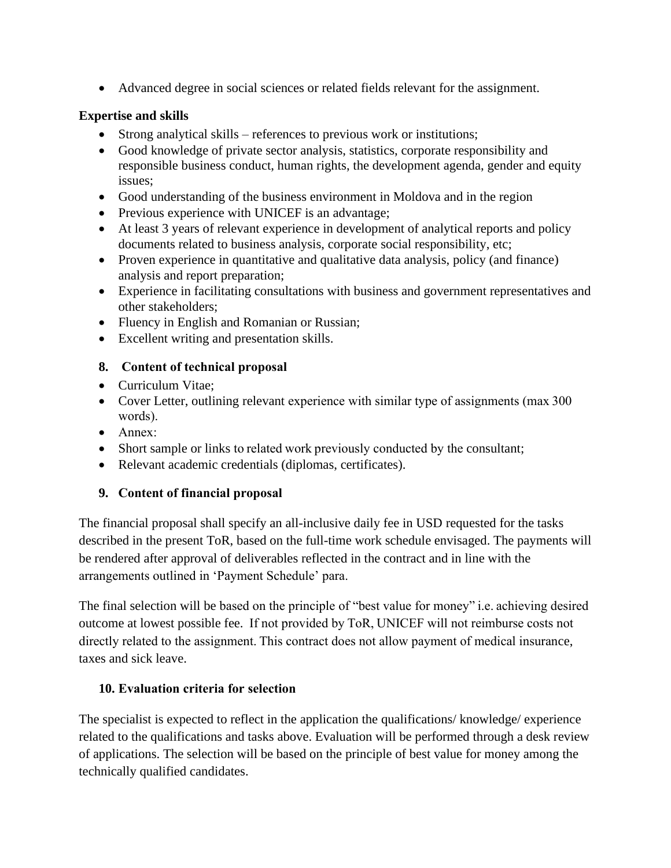• Advanced degree in social sciences or related fields relevant for the assignment.

# **Expertise and skills**

- Strong analytical skills references to previous work or institutions;
- Good knowledge of private sector analysis, statistics, corporate responsibility and responsible business conduct, human rights, the development agenda, gender and equity issues;
- Good understanding of the business environment in Moldova and in the region
- Previous experience with UNICEF is an advantage;
- At least 3 years of relevant experience in development of analytical reports and policy documents related to business analysis, corporate social responsibility, etc;
- Proven experience in quantitative and qualitative data analysis, policy (and finance) analysis and report preparation;
- Experience in facilitating consultations with business and government representatives and other stakeholders;
- Fluency in English and Romanian or Russian;
- Excellent writing and presentation skills.

# <span id="page-9-0"></span>**8. Content of technical proposal**

- Curriculum Vitae;
- Cover Letter, outlining relevant experience with similar type of assignments (max 300) words).
- Annex:
- Short sample or links to related work previously conducted by the consultant;
- Relevant academic credentials (diplomas, certificates).

# <span id="page-9-1"></span>**9. Content of financial proposal**

The financial proposal shall specify an all-inclusive daily fee in USD requested for the tasks described in the present ToR, based on the full-time work schedule envisaged. The payments will be rendered after approval of deliverables reflected in the contract and in line with the arrangements outlined in 'Payment Schedule' para.

The final selection will be based on the principle of "best value for money" i.e. achieving desired outcome at lowest possible fee. If not provided by ToR, UNICEF will not reimburse costs not directly related to the assignment. This contract does not allow payment of medical insurance, taxes and sick leave.

# <span id="page-9-2"></span>**10. Evaluation criteria for selection**

The specialist is expected to reflect in the application the qualifications/ knowledge/ experience related to the qualifications and tasks above. Evaluation will be performed through a desk review of applications. The selection will be based on the principle of best value for money among the technically qualified candidates.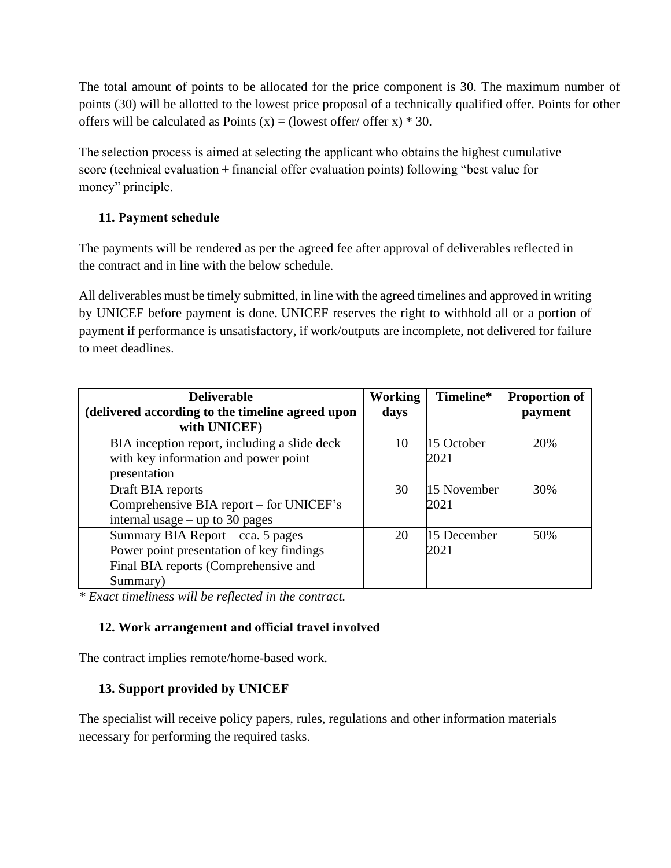The total amount of points to be allocated for the price component is 30. The maximum number of points (30) will be allotted to the lowest price proposal of a technically qualified offer. Points for other offers will be calculated as Points  $(x) =$  (lowest offer/ offer x)  $*$  30.

The selection process is aimed at selecting the applicant who obtains the highest cumulative score (technical evaluation + financial offer evaluation points) following "best value for money" principle.

# <span id="page-10-0"></span>**11. Payment schedule**

The payments will be rendered as per the agreed fee after approval of deliverables reflected in the contract and in line with the below schedule.

All deliverables must be timely submitted, in line with the agreed timelines and approved in writing by UNICEF before payment is done. UNICEF reserves the right to withhold all or a portion of payment if performance is unsatisfactory, if work/outputs are incomplete, not delivered for failure to meet deadlines. 

| <b>Deliverable</b>                               | <b>Working</b> | Timeline*   | <b>Proportion of</b> |
|--------------------------------------------------|----------------|-------------|----------------------|
| (delivered according to the timeline agreed upon | days           |             | payment              |
| with UNICEF)                                     |                |             |                      |
| BIA inception report, including a slide deck     | 10             | 15 October  | 20%                  |
| with key information and power point             |                | 2021        |                      |
| presentation                                     |                |             |                      |
| Draft BIA reports                                | 30             | 15 November | 30%                  |
| Comprehensive BIA report – for UNICEF's          |                | 2021        |                      |
| internal usage $-$ up to 30 pages                |                |             |                      |
| Summary BIA Report – cca. 5 pages                | 20             | 15 December | 50%                  |
| Power point presentation of key findings         |                | 2021        |                      |
| Final BIA reports (Comprehensive and             |                |             |                      |
| Summary)                                         |                |             |                      |

<span id="page-10-1"></span>*\* Exact timeliness will be reflected in the contract.*

# **12. Work arrangement and official travel involved**

<span id="page-10-2"></span>The contract implies remote/home-based work.

# **13. Support provided by UNICEF**

The specialist will receive policy papers, rules, regulations and other information materials necessary for performing the required tasks.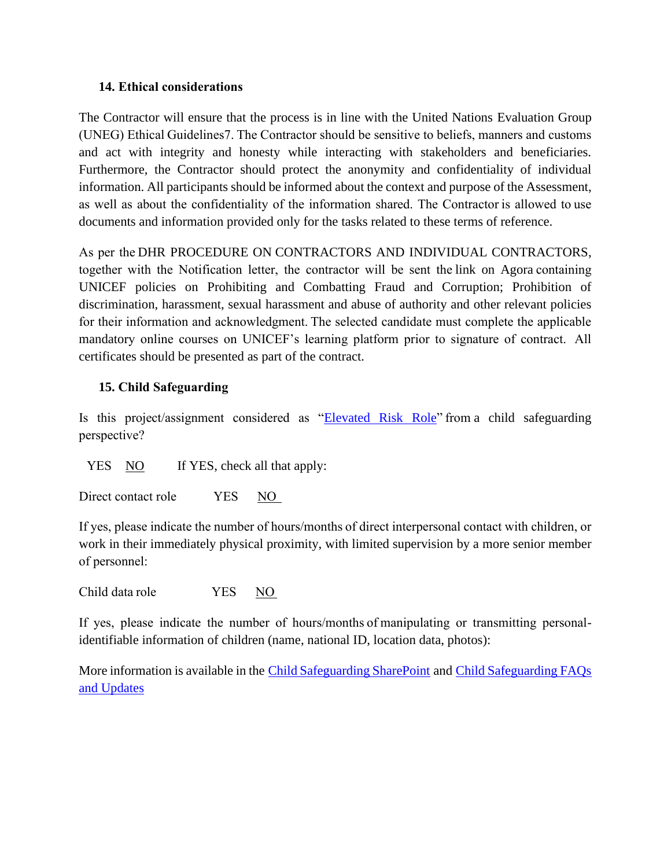#### <span id="page-11-0"></span>**14. Ethical considerations**

The Contractor will ensure that the process is in line with the United Nations Evaluation Group (UNEG) Ethical Guidelines7. The Contractor should be sensitive to beliefs, manners and customs and act with integrity and honesty while interacting with stakeholders and beneficiaries. Furthermore, the Contractor should protect the anonymity and confidentiality of individual information. All participants should be informed about the context and purpose of the Assessment, as well as about the confidentiality of the information shared. The Contractor is allowed to use documents and information provided only for the tasks related to these terms of reference.

As per the DHR PROCEDURE ON [CONTRACTORS AND INDIVIDUAL CONTRACTORS,](https://unicef.sharepoint.com/sites/portals/RF/Regulatory%20Framework%20Library/DHR%20Procedure%20on%20Consultants%20-%20DHR_PROCEDURE_2018_005.pdf) together with the Notification letter, the contractor will be sent th[e link on Agora](https://agora.unicef.org/course/view.php?id=15620)containing UNICEF policies on Prohibiting and Combatting Fraud and Corruption; Prohibition of discrimination, harassment, sexual harassment and abuse of authority and other relevant policies for their information and acknowledgment. The selected candidate must complete the applicable mandatory online courses on UNICEF's learning platform prior to signature of contract.  All certificates should be presented as part of the contract.

### <span id="page-11-1"></span>**15. Child Safeguarding**

Is this project/assignment considered as ["Elevated Risk Role"](https://unicef.sharepoint.com/sites/DHR-ChildSafeguarding/DocumentLibrary1/Guidance%20on%20Identifying%20Elevated%20Risk%20Roles_finalversion.pdf?CT=1590792470221&OR=ItemsView) from a child safeguarding perspective?   

YES NO If YES, check all that apply:

Direct contact role **EVES** NO

If yes, please indicate the number of hours/months of direct interpersonal contact with children, or work in their immediately physical proximity, with limited supervision by a more senior member of personnel: 

Child data role                    YES     NO                          

If yes, please indicate the number of hours/months of manipulating or transmitting personalidentifiable information of children (name, national ID, location data, photos):

More information is available in the [Child Safeguarding SharePoint](https://unicef.sharepoint.com/sites/DHR-ChildSafeguarding/SitePages/Amendments-to-the-Recruitment-Guidance.aspx) and [Child Safeguarding FAQs](https://unicef.sharepoint.com/sites/DHR-ChildSafeguarding/DocumentLibrary1/Child%20Safeguarding%20FAQs%20and%20Updates%20Dec%202020.pdf)  [and Updates](https://unicef.sharepoint.com/sites/DHR-ChildSafeguarding/DocumentLibrary1/Child%20Safeguarding%20FAQs%20and%20Updates%20Dec%202020.pdf)